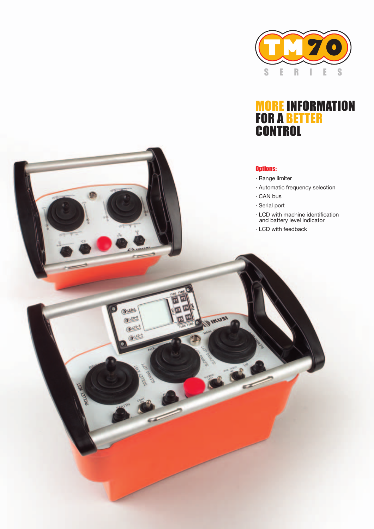

## MORE INFORMATION FOR A BETTER **CONTROL**

## Options:

- · Range limiter
- · Automatic frequency selection
- · CAN bus
- · Serial port

**CA IKUSI** 

Ques

 $\underline{\text{O}}$ Quen-3  $Q$ 

- · LCD with machine identification and battery level indicator
- · LCD with feedback